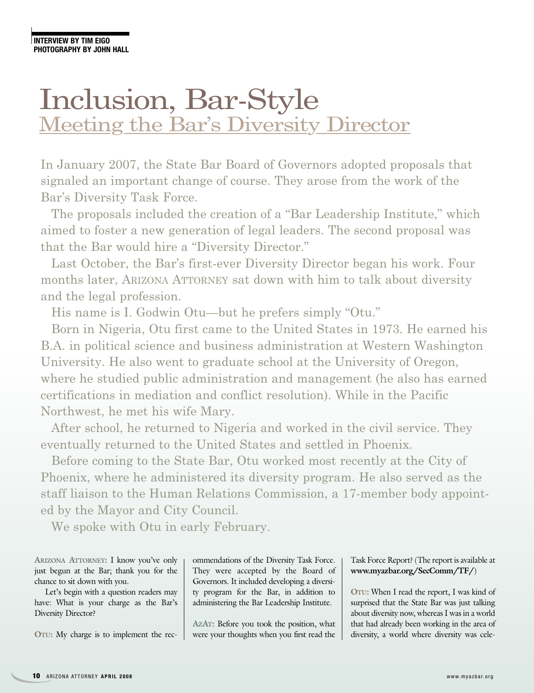## Inclusion, Bar-Style Meeting the Bar's Diversity Director

In January 2007, the State Bar Board of Governors adopted proposals that signaled an important change of course. They arose from the work of the Bar's Diversity Task Force.

The proposals included the creation of a "Bar Leadership Institute," which aimed to foster a new generation of legal leaders. The second proposal was that the Bar would hire a "Diversity Director."

Last October, the Bar's first-ever Diversity Director began his work. Four months later, ARIZONA ATTORNEY sat down with him to talk about diversity and the legal profession.

His name is I. Godwin Otu—but he prefers simply "Otu."

Born in Nigeria, Otu first came to the United States in 1973. He earned his B.A. in political science and business administration at Western Washington University. He also went to graduate school at the University of Oregon, where he studied public administration and management (he also has earned certifications in mediation and conflict resolution). While in the Pacific Northwest, he met his wife Mary.

After school, he returned to Nigeria and worked in the civil service. They eventually returned to the United States and settled in Phoenix.

Before coming to the State Bar, Otu worked most recently at the City of Phoenix, where he administered its diversity program. He also served as the staff liaison to the Human Relations Commission, a 17-member body appointed by the Mayor and City Council.

We spoke with Otu in early February.

**ARIZONA ATTORNEY:** I know you've only just begun at the Bar; thank you for the chance to sit down with you.

Let's begin with a question readers may have: What is your charge as the Bar's Diversity Director?

**OTU:** My charge is to implement the rec-

ommendations of the Diversity Task Force. They were accepted by the Board of Governors. It included developing a diversity program for the Bar, in addition to administering the Bar Leadership Institute.

**AZAT:** Before you took the position, what were your thoughts when you first read the Task Force Report? (The report is available at **www.myazbar.org/SecComm/TF/**)

**OTU:** When I read the report, I was kind of surprised that the State Bar was just talking about diversity now, whereas I was in a world that had already been working in the area of diversity, a world where diversity was cele-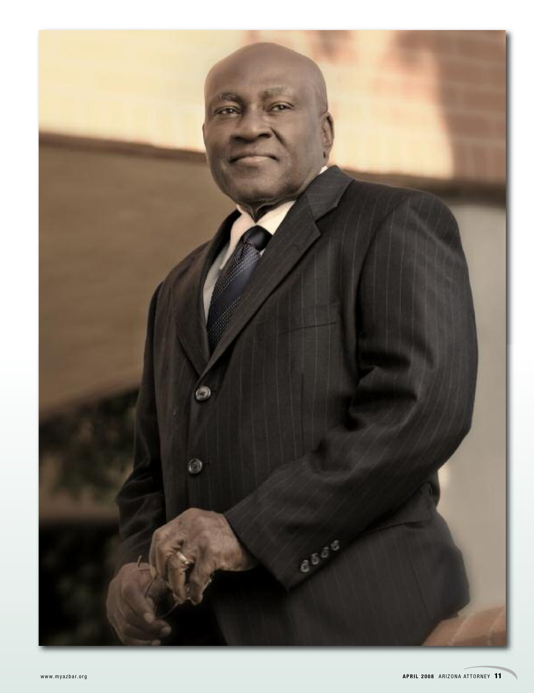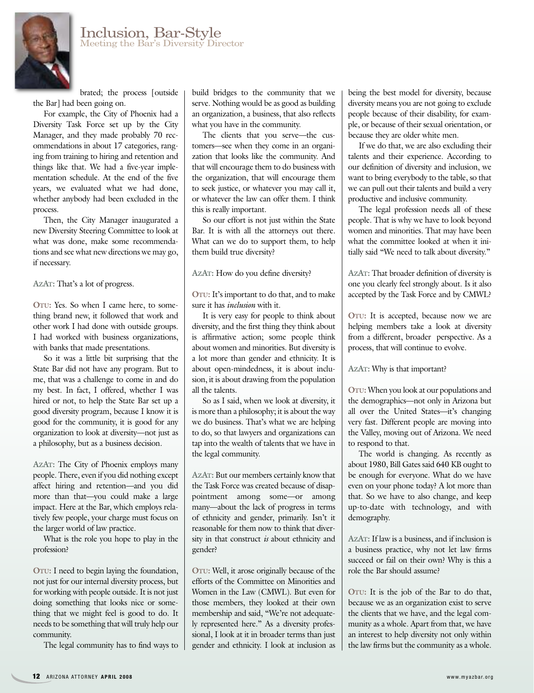

brated; the process [outside the Bar] had been going on.

For example, the City of Phoenix had a Diversity Task Force set up by the City Manager, and they made probably 70 recommendations in about 17 categories, ranging from training to hiring and retention and things like that. We had a five-year implementation schedule. At the end of the five years, we evaluated what we had done, whether anybody had been excluded in the process.

Then, the City Manager inaugurated a new Diversity Steering Committee to look at what was done, make some recommendations and see what new directions we may go, if necessary.

**AZAT:** That's a lot of progress.

**OTU:** Yes. So when I came here, to something brand new, it followed that work and other work I had done with outside groups. I had worked with business organizations, with banks that made presentations.

So it was a little bit surprising that the State Bar did not have any program. But to me, that was a challenge to come in and do my best. In fact, I offered, whether I was hired or not, to help the State Bar set up a good diversity program, because I know it is good for the community, it is good for any organization to look at diversity—not just as a philosophy, but as a business decision.

**AZAT:** The City of Phoenix employs many people. There, even if you did nothing except affect hiring and retention—and you did more than that—you could make a large impact. Here at the Bar, which employs relatively few people, your charge must focus on the larger world of law practice.

What is the role you hope to play in the profession?

**OTU:** I need to begin laying the foundation, not just for our internal diversity process, but for working with people outside. It is not just doing something that looks nice or something that we might feel is good to do. It needs to be something that will truly help our community.

The legal community has to find ways to

build bridges to the community that we serve. Nothing would be as good as building an organization, a business, that also reflects what you have in the community.

The clients that you serve—the customers—see when they come in an organization that looks like the community. And that will encourage them to do business with the organization, that will encourage them to seek justice, or whatever you may call it, or whatever the law can offer them. I think this is really important.

So our effort is not just within the State Bar. It is with all the attorneys out there. What can we do to support them, to help them build true diversity?

**AZAT:** How do you define diversity?

**OTU:** It's important to do that, and to make sure it has *inclusion* with it.

It is very easy for people to think about diversity, and the first thing they think about is affirmative action; some people think about women and minorities. But diversity is a lot more than gender and ethnicity. It is about open-mindedness, it is about inclusion, it is about drawing from the population all the talents.

So as I said, when we look at diversity, it is more than a philosophy; it is about the way we do business. That's what we are helping to do, so that lawyers and organizations can tap into the wealth of talents that we have in the legal community.

**AZAT:** But our members certainly know that the Task Force was created because of disappointment among some—or among many—about the lack of progress in terms of ethnicity and gender, primarily. Isn't it reasonable for them now to think that diversity in that construct *is* about ethnicity and gender?

**OTU:** Well, it arose originally because of the efforts of the Committee on Minorities and Women in the Law (CMWL). But even for those members, they looked at their own membership and said, "We're not adequately represented here." As a diversity professional, I look at it in broader terms than just gender and ethnicity. I look at inclusion as being the best model for diversity, because diversity means you are not going to exclude people because of their disability, for example, or because of their sexual orientation, or because they are older white men.

If we do that, we are also excluding their talents and their experience. According to our definition of diversity and inclusion, we want to bring everybody to the table, so that we can pull out their talents and build a very productive and inclusive community.

The legal profession needs all of these people. That is why we have to look beyond women and minorities. That may have been what the committee looked at when it initially said "We need to talk about diversity."

**AZAT:** That broader definition of diversity is one you clearly feel strongly about. Is it also accepted by the Task Force and by CMWL?

**OTU:** It is accepted, because now we are helping members take a look at diversity from a different, broader perspective. As a process, that will continue to evolve.

**AZAT:** Why is that important?

**OTU:** When you look at our populations and the demographics—not only in Arizona but all over the United States—it's changing very fast. Different people are moving into the Valley, moving out of Arizona. We need to respond to that.

The world is changing. As recently as about 1980, Bill Gates said 640 KB ought to be enough for everyone. What do we have even on your phone today? A lot more than that. So we have to also change, and keep up-to-date with technology, and with demography.

**AZAT:** If law is a business, and if inclusion is a business practice, why not let law firms succeed or fail on their own? Why is this a role the Bar should assume?

**OTU:** It is the job of the Bar to do that, because we as an organization exist to serve the clients that we have, and the legal community as a whole. Apart from that, we have an interest to help diversity not only within the law firms but the community as a whole.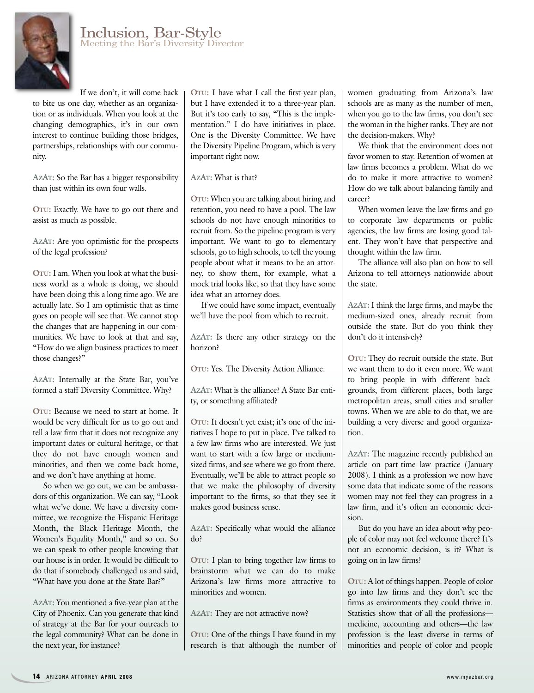

If we don't, it will come back to bite us one day, whether as an organiza-

tion or as individuals. When you look at the changing demographics, it's in our own interest to continue building those bridges, partnerships, relationships with our community.

**AZAT:** So the Bar has a bigger responsibility than just within its own four walls.

**OTU:** Exactly. We have to go out there and assist as much as possible.

**AZAT:** Are you optimistic for the prospects of the legal profession?

**OTU:** I am. When you look at what the business world as a whole is doing, we should have been doing this a long time ago. We are actually late. So I am optimistic that as time goes on people will see that. We cannot stop the changes that are happening in our communities. We have to look at that and say, "How do we align business practices to meet those changes?"

**AZAT:** Internally at the State Bar, you've formed a staff Diversity Committee. Why?

**OTU:** Because we need to start at home. It would be very difficult for us to go out and tell a law firm that it does not recognize any important dates or cultural heritage, or that they do not have enough women and minorities, and then we come back home, and we don't have anything at home.

So when we go out, we can be ambassadors of this organization. We can say, "Look what we've done. We have a diversity committee, we recognize the Hispanic Heritage Month, the Black Heritage Month, the Women's Equality Month," and so on. So we can speak to other people knowing that our house is in order. It would be difficult to do that if somebody challenged us and said, "What have you done at the State Bar?"

**AZAT:** You mentioned a five-year plan at the City of Phoenix. Can you generate that kind of strategy at the Bar for your outreach to the legal community? What can be done in the next year, for instance?

**OTU:** I have what I call the first-year plan, but I have extended it to a three-year plan. But it's too early to say, "This is the implementation." I do have initiatives in place. One is the Diversity Committee. We have the Diversity Pipeline Program, which is very important right now.

**AZAT:** What is that?

**OTU:** When you are talking about hiring and retention, you need to have a pool. The law schools do not have enough minorities to recruit from. So the pipeline program is very important. We want to go to elementary schools, go to high schools, to tell the young people about what it means to be an attorney, to show them, for example, what a mock trial looks like, so that they have some idea what an attorney does.

If we could have some impact, eventually we'll have the pool from which to recruit.

**AZAT:** Is there any other strategy on the horizon?

**OTU:** Yes. The Diversity Action Alliance.

**AZAT:** What is the alliance? A State Bar entity, or something affiliated?

**OTU:** It doesn't yet exist; it's one of the initiatives I hope to put in place. I've talked to a few law firms who are interested. We just want to start with a few large or mediumsized firms, and see where we go from there. Eventually, we'll be able to attract people so that we make the philosophy of diversity important to the firms, so that they see it makes good business sense.

**AZAT:** Specifically what would the alliance do?

**OTU:** I plan to bring together law firms to brainstorm what we can do to make Arizona's law firms more attractive to minorities and women.

AzAT: They are not attractive now?

**OTU:** One of the things I have found in my research is that although the number of women graduating from Arizona's law schools are as many as the number of men, when you go to the law firms, you don't see the woman in the higher ranks. They are not the decision-makers. Why?

We think that the environment does not favor women to stay. Retention of women at law firms becomes a problem. What do we do to make it more attractive to women? How do we talk about balancing family and career?

When women leave the law firms and go to corporate law departments or public agencies, the law firms are losing good talent. They won't have that perspective and thought within the law firm.

The alliance will also plan on how to sell Arizona to tell attorneys nationwide about the state.

**AZAT:** I think the large firms, and maybe the medium-sized ones, already recruit from outside the state. But do you think they don't do it intensively?

**OTU:** They do recruit outside the state. But we want them to do it even more. We want to bring people in with different backgrounds, from different places, both large metropolitan areas, small cities and smaller towns. When we are able to do that, we are building a very diverse and good organization.

**AZAT:** The magazine recently published an article on part-time law practice (January 2008). I think as a profession we now have some data that indicate some of the reasons women may not feel they can progress in a law firm, and it's often an economic decision.

But do you have an idea about why people of color may not feel welcome there? It's not an economic decision, is it? What is going on in law firms?

**OTU:** A lot of things happen. People of color go into law firms and they don't see the firms as environments they could thrive in. Statistics show that of all the professions medicine, accounting and others—the law profession is the least diverse in terms of minorities and people of color and people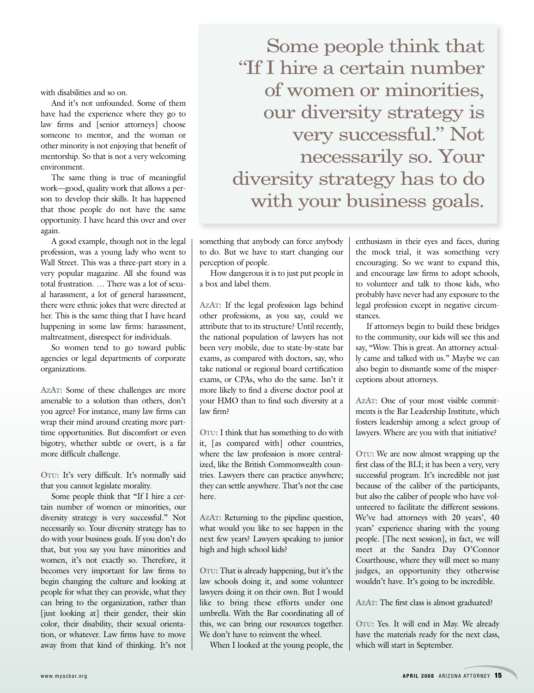with disabilities and so on.

And it's not unfounded. Some of them have had the experience where they go to law firms and [senior attorneys] choose someone to mentor, and the woman or other minority is not enjoying that benefit of mentorship. So that is not a very welcoming environment.

The same thing is true of meaningful work—good, quality work that allows a person to develop their skills. It has happened that those people do not have the same opportunity. I have heard this over and over again.

A good example, though not in the legal profession, was a young lady who went to Wall Street. This was a three-part story in a very popular magazine. All she found was total frustration. … There was a lot of sexual harassment, a lot of general harassment, there were ethnic jokes that were directed at her. This is the same thing that I have heard happening in some law firms: harassment, maltreatment, disrespect for individuals.

So women tend to go toward public agencies or legal departments of corporate organizations.

**AZAT:** Some of these challenges are more amenable to a solution than others, don't you agree? For instance, many law firms can wrap their mind around creating more parttime opportunities. But discomfort or even bigotry, whether subtle or overt, is a far more difficult challenge.

**OTU:** It's very difficult. It's normally said that you cannot legislate morality.

Some people think that "If I hire a certain number of women or minorities, our diversity strategy is very successful." Not necessarily so. Your diversity strategy has to do with your business goals. If you don't do that, but you say you have minorities and women, it's not exactly so. Therefore, it becomes very important for law firms to begin changing the culture and looking at people for what they can provide, what they can bring to the organization, rather than [just looking at] their gender, their skin color, their disability, their sexual orientation, or whatever. Law firms have to move away from that kind of thinking. It's not

Some people think that "If I hire a certain number of women or minorities, our diversity strategy is very successful." Not necessarily so. Your diversity strategy has to do with your business goals.

something that anybody can force anybody to do. But we have to start changing our perception of people.

How dangerous it is to just put people in a box and label them.

**AZAT:** If the legal profession lags behind other professions, as you say, could we attribute that to its structure? Until recently, the national population of lawyers has not been very mobile, due to state-by-state bar exams, as compared with doctors, say, who take national or regional board certification exams, or CPAs, who do the same. Isn't it more likely to find a diverse doctor pool at your HMO than to find such diversity at a law firm?

**OTU:** I think that has something to do with it, [as compared with] other countries, where the law profession is more centralized, like the British Commonwealth countries. Lawyers there can practice anywhere; they can settle anywhere. That's not the case here.

**AZAT:** Returning to the pipeline question, what would you like to see happen in the next few years? Lawyers speaking to junior high and high school kids?

**OTU:** That is already happening, but it's the law schools doing it, and some volunteer lawyers doing it on their own. But I would like to bring these efforts under one umbrella. With the Bar coordinating all of this, we can bring our resources together. We don't have to reinvent the wheel.

When I looked at the young people, the

enthusiasm in their eyes and faces, during the mock trial, it was something very encouraging. So we want to expand this, and encourage law firms to adopt schools, to volunteer and talk to those kids, who probably have never had any exposure to the legal profession except in negative circumstances.

If attorneys begin to build these bridges to the community, our kids will see this and say, "Wow. This is great. An attorney actually came and talked with us." Maybe we can also begin to dismantle some of the misperceptions about attorneys.

**AZAT:** One of your most visible commitments is the Bar Leadership Institute, which fosters leadership among a select group of lawyers. Where are you with that initiative?

**OTU:** We are now almost wrapping up the first class of the BLI; it has been a very, very successful program. It's incredible not just because of the caliber of the participants, but also the caliber of people who have volunteered to facilitate the different sessions. We've had attorneys with 20 years', 40 years' experience sharing with the young people. [The next session], in fact, we will meet at the Sandra Day O'Connor Courthouse, where they will meet so many judges, an opportunity they otherwise wouldn't have. It's going to be incredible.

**AZAT:** The first class is almost graduated?

**OTU:** Yes. It will end in May. We already have the materials ready for the next class, which will start in September.